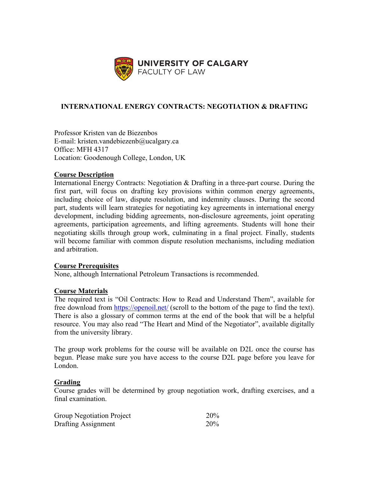

# **INTERNATIONAL ENERGY CONTRACTS: NEGOTIATION & DRAFTING**

Professor Kristen van de Biezenbos E-mail: kristen.vandebiezenb@ucalgary.ca Office: MFH 4317 Location: Goodenough College, London, UK

### **Course Description**

International Energy Contracts: Negotiation & Drafting in a three-part course. During the first part, will focus on drafting key provisions within common energy agreements, including choice of law, dispute resolution, and indemnity clauses. During the second part, students will learn strategies for negotiating key agreements in international energy development, including bidding agreements, non-disclosure agreements, joint operating agreements, participation agreements, and lifting agreements. Students will hone their negotiating skills through group work, culminating in a final project. Finally, students will become familiar with common dispute resolution mechanisms, including mediation and arbitration.

# **Course Prerequisites**

None, although International Petroleum Transactions is recommended.

#### **Course Materials**

The required text is "Oil Contracts: How to Read and Understand Them", available for free download from <https://openoil.net/> (scroll to the bottom of the page to find the text). There is also a glossary of common terms at the end of the book that will be a helpful resource. You may also read "The Heart and Mind of the Negotiator", available digitally from the university library.

The group work problems for the course will be available on D2L once the course has begun. Please make sure you have access to the course D2L page before you leave for London.

### **Grading**

Course grades will be determined by group negotiation work, drafting exercises, and a final examination.

| Group Negotiation Project | 20% |
|---------------------------|-----|
| Drafting Assignment       | 20% |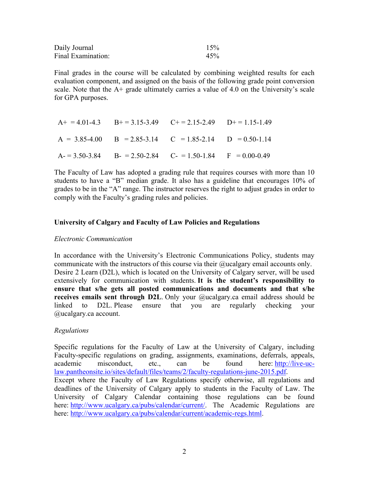| Daily Journal      | 15% |
|--------------------|-----|
| Final Examination: | 45% |

Final grades in the course will be calculated by combining weighted results for each evaluation component, and assigned on the basis of the following grade point conversion scale. Note that the  $A<sup>+</sup>$  grade ultimately carries a value of 4.0 on the University's scale for GPA purposes.

| $A+ = 4.01-4.3$ $B+ = 3.15-3.49$ $C+ = 2.15-2.49$ $D+ = 1.15-1.49$      |  |
|-------------------------------------------------------------------------|--|
| $A = 3.85-4.00$ B = 2.85-3.14 C = 1.85-2.14 D = 0.50-1.14               |  |
| $A = 3.50 - 3.84$ $B = 2.50 - 2.84$ $C = 1.50 - 1.84$ $F = 0.00 - 0.49$ |  |

The Faculty of Law has adopted a grading rule that requires courses with more than 10 students to have a "B" median grade. It also has a guideline that encourages 10% of grades to be in the "A" range. The instructor reserves the right to adjust grades in order to comply with the Faculty's grading rules and policies.

#### **University of Calgary and Faculty of Law Policies and Regulations**

#### *Electronic Communication*

In accordance with the University's Electronic Communications Policy, students may communicate with the instructors of this course via their @ucalgary email accounts only. Desire 2 Learn (D2L), which is located on the University of Calgary server, will be used extensively for communication with students. **It is the student's responsibility to ensure that s/he gets all posted communications and documents and that s/he receives emails sent through D2L**. Only your @ucalgary.ca email address should be linked to D2L. Please ensure that you are regularly checking your @ucalgary.ca account.

#### *Regulations*

Specific regulations for the Faculty of Law at the University of Calgary, including Faculty-specific regulations on grading, assignments, examinations, deferrals, appeals, academic misconduct, etc., can be found here: [http://live-uc](http://live-uc-law.pantheonsite.io/sites/default/files/teams/2/faculty-regulations-june-2015.pdf)[law.pantheonsite.io/sites/default/files/teams/2/faculty-regulations-june-2015.pdf.](http://live-uc-law.pantheonsite.io/sites/default/files/teams/2/faculty-regulations-june-2015.pdf) Except where the Faculty of Law Regulations specify otherwise, all regulations and deadlines of the University of Calgary apply to students in the Faculty of Law. The University of Calgary Calendar containing those regulations can be found here: [http://www.ucalgary.ca/pubs/calendar/current/.](http://www.ucalgary.ca/pubs/calendar/current/) The Academic Regulations are here: [http://www.ucalgary.ca/pubs/calendar/current/academic-regs.html.](http://www.ucalgary.ca/pubs/calendar/current/academic-regs.html)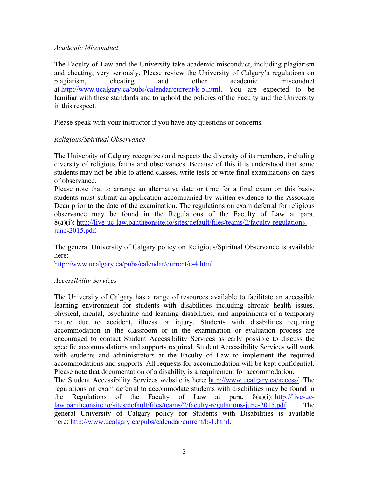#### *Academic Misconduct*

The Faculty of Law and the University take academic misconduct, including plagiarism and cheating, very seriously. Please review the University of Calgary's regulations on plagiarism, cheating and other academic misconduct at [http://www.ucalgary.ca/pubs/calendar/current/k-5.html.](http://www.ucalgary.ca/pubs/calendar/current/k-5.html) You are expected to be familiar with these standards and to uphold the policies of the Faculty and the University in this respect.

Please speak with your instructor if you have any questions or concerns.

# *Religious/Spiritual Observance*

The University of Calgary recognizes and respects the diversity of its members, including diversity of religious faiths and observances. Because of this it is understood that some students may not be able to attend classes, write tests or write final examinations on days of observance.

Please note that to arrange an alternative date or time for a final exam on this basis, students must submit an application accompanied by written evidence to the Associate Dean prior to the date of the examination. The regulations on exam deferral for religious observance may be found in the Regulations of the Faculty of Law at para. 8(a)(i): [http://live-uc-law.pantheonsite.io/sites/default/files/teams/2/faculty-regulations](http://live-uc-law.pantheonsite.io/sites/default/files/teams/2/faculty-regulations-june-2015.pdf)[june-2015.pdf.](http://live-uc-law.pantheonsite.io/sites/default/files/teams/2/faculty-regulations-june-2015.pdf)

The general University of Calgary policy on Religious/Spiritual Observance is available here:

[http://www.ucalgary.ca/pubs/calendar/current/e-4.html.](http://www.ucalgary.ca/pubs/calendar/current/e-4.html)

# *Accessibility Services*

The University of Calgary has a range of resources available to facilitate an accessible learning environment for students with disabilities including chronic health issues, physical, mental, psychiatric and learning disabilities, and impairments of a temporary nature due to accident, illness or injury. Students with disabilities requiring accommodation in the classroom or in the examination or evaluation process are encouraged to contact Student Accessibility Services as early possible to discuss the specific accommodations and supports required. Student Accessibility Services will work with students and administrators at the Faculty of Law to implement the required accommodations and supports. All requests for accommodation will be kept confidential. Please note that documentation of a disability is a requirement for accommodation.

The Student Accessibility Services website is here: [http://www.ucalgary.ca/access/.](http://www.ucalgary.ca/access/) The regulations on exam deferral to accommodate students with disabilities may be found in the Regulations of the Faculty of Law at para.  $8(a)(i)$ : [http://live-uc](http://live-uc-law.pantheonsite.io/sites/default/files/teams/2/faculty-regulations-june-2015.pdf)[law.pantheonsite.io/sites/default/files/teams/2/faculty-regulations-june-2015.pdf.](http://live-uc-law.pantheonsite.io/sites/default/files/teams/2/faculty-regulations-june-2015.pdf) The general University of Calgary policy for Students with Disabilities is available here: [http://www.ucalgary.ca/pubs/calendar/current/b-1.html.](http://www.ucalgary.ca/pubs/calendar/current/b-1.html)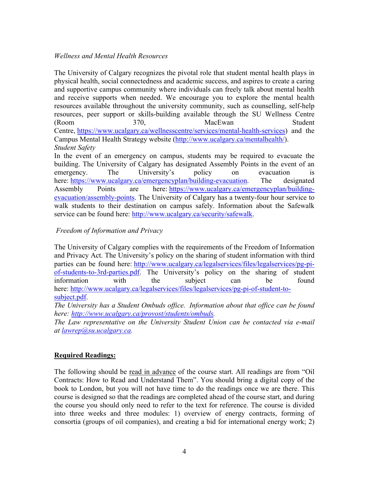## *Wellness and Mental Health Resources*

The University of Calgary recognizes the pivotal role that student mental health plays in physical health, social connectedness and academic success, and aspires to create a caring and supportive campus community where individuals can freely talk about mental health and receive supports when needed. We encourage you to explore the mental health resources available throughout the university community, such as counselling, self-help resources, peer support or skills-building available through the SU Wellness Centre (Room 370, MacEwan Student Centre, [https://www.ucalgary.ca/wellnesscentre/services/mental-health-services\)](https://www.ucalgary.ca/wellnesscentre/services/mental-health-services) and the Campus Mental Health Strategy website [\(http://www.ucalgary.ca/mentalhealth/\)](http://www.ucalgary.ca/mentalhealth/). *Student Safety*

In the event of an emergency on campus, students may be required to evacuate the building. The University of Calgary has designated Assembly Points in the event of an emergency. The University's policy on evacuation is here: [https://www.ucalgary.ca/emergencyplan/building-evacuation.](https://www.ucalgary.ca/emergencyplan/building-evacuation) The designated Assembly Points are here: [https://www.ucalgary.ca/emergencyplan/building](https://www.ucalgary.ca/emergencyplan/building-evacuation/assembly-points)[evacuation/assembly-points.](https://www.ucalgary.ca/emergencyplan/building-evacuation/assembly-points) The University of Calgary has a twenty-four hour service to walk students to their destination on campus safely. Information about the Safewalk service can be found here: [http://www.ucalgary.ca/security/safewalk.](http://www.ucalgary.ca/security/safewalk)

# *Freedom of Information and Privacy*

The University of Calgary complies with the requirements of the Freedom of Information and Privacy Act. The University's policy on the sharing of student information with third parties can be found here: [http://www.ucalgary.ca/legalservices/files/legalservices/pg-pi](http://www.ucalgary.ca/legalservices/files/legalservices/pg-pi-of-students-to-3rd-parties.pdf)[of-students-to-3rd-parties.pdf.](http://www.ucalgary.ca/legalservices/files/legalservices/pg-pi-of-students-to-3rd-parties.pdf) The University's policy on the sharing of student information with the subject can be found here: [http://www.ucalgary.ca/legalservices/files/legalservices/pg-pi-of-student-to](http://www.ucalgary.ca/legalservices/files/legalservices/pg-pi-of-student-to-subject.pdf)[subject.pdf.](http://www.ucalgary.ca/legalservices/files/legalservices/pg-pi-of-student-to-subject.pdf)

*The University has a Student Ombuds office. Information about that office can be found here: [http://www.ucalgary.ca/provost/students/ombuds.](http://www.ucalgary.ca/provost/students/ombuds)*

*The Law representative on the University Student Union can be contacted via e-mail at [lawrep@su.ucalgary.ca.](mailto:lawrep@su.ucalgary.ca)* 

# **Required Readings:**

The following should be read in advance of the course start. All readings are from "Oil Contracts: How to Read and Understand Them". You should bring a digital copy of the book to London, but you will not have time to do the readings once we are there. This course is designed so that the readings are completed ahead of the course start, and during the course you should only need to refer to the text for reference. The course is divided into three weeks and three modules: 1) overview of energy contracts, forming of consortia (groups of oil companies), and creating a bid for international energy work; 2)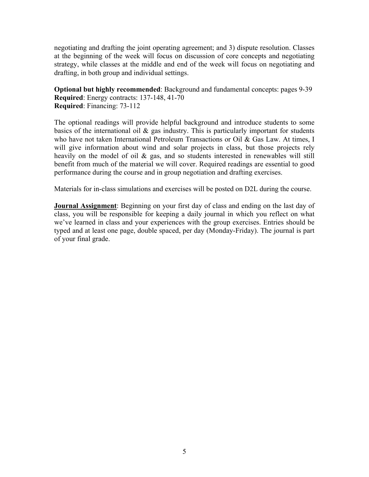negotiating and drafting the joint operating agreement; and 3) dispute resolution. Classes at the beginning of the week will focus on discussion of core concepts and negotiating strategy, while classes at the middle and end of the week will focus on negotiating and drafting, in both group and individual settings.

**Optional but highly recommended**: Background and fundamental concepts: pages 9-39 **Required**: Energy contracts: 137-148, 41-70 **Required**: Financing: 73-112

The optional readings will provide helpful background and introduce students to some basics of the international oil  $\&$  gas industry. This is particularly important for students who have not taken International Petroleum Transactions or Oil & Gas Law. At times, I will give information about wind and solar projects in class, but those projects rely heavily on the model of oil & gas, and so students interested in renewables will still benefit from much of the material we will cover. Required readings are essential to good performance during the course and in group negotiation and drafting exercises.

Materials for in-class simulations and exercises will be posted on D2L during the course.

**Journal Assignment**: Beginning on your first day of class and ending on the last day of class, you will be responsible for keeping a daily journal in which you reflect on what we've learned in class and your experiences with the group exercises. Entries should be typed and at least one page, double spaced, per day (Monday-Friday). The journal is part of your final grade.